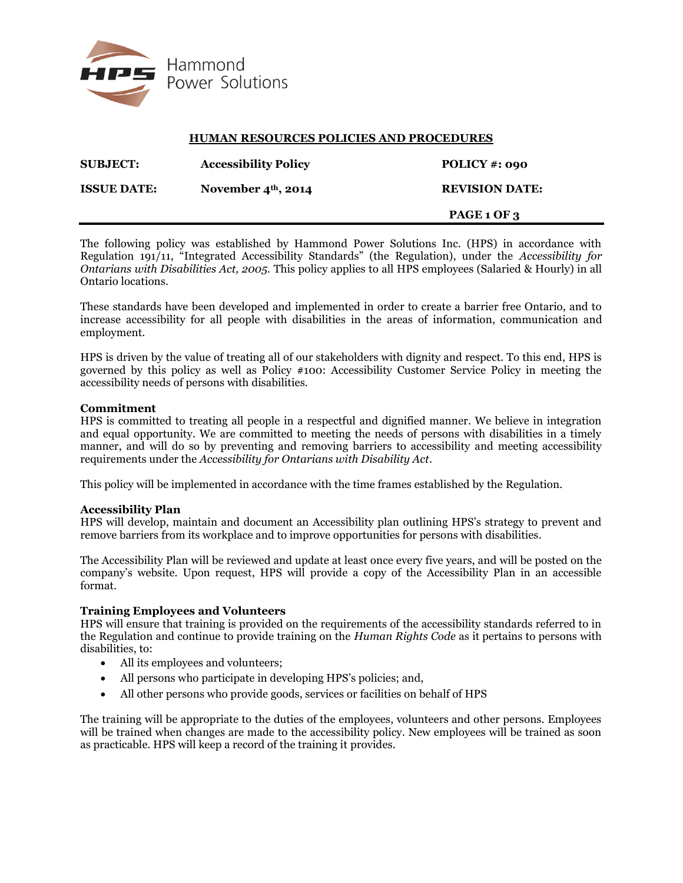

## **HUMAN RESOURCES POLICIES AND PROCEDURES**

| <b>SUBJECT:</b>    | <b>Accessibility Policy</b> | POLICY #: 090         |
|--------------------|-----------------------------|-----------------------|
| <b>ISSUE DATE:</b> | November $4th$ , 2014       | <b>REVISION DATE:</b> |
|                    |                             | PAGE 1 OF 3           |

The following policy was established by Hammond Power Solutions Inc. (HPS) in accordance with Regulation 191/11, "Integrated Accessibility Standards" (the Regulation), under the *Accessibility for Ontarians with Disabilities Act, 2005.* This policy applies to all HPS employees (Salaried & Hourly) in all Ontario locations.

These standards have been developed and implemented in order to create a barrier free Ontario, and to increase accessibility for all people with disabilities in the areas of information, communication and employment.

HPS is driven by the value of treating all of our stakeholders with dignity and respect. To this end, HPS is governed by this policy as well as Policy #100: Accessibility Customer Service Policy in meeting the accessibility needs of persons with disabilities.

#### **Commitment**

HPS is committed to treating all people in a respectful and dignified manner. We believe in integration and equal opportunity. We are committed to meeting the needs of persons with disabilities in a timely manner, and will do so by preventing and removing barriers to accessibility and meeting accessibility requirements under the *Accessibility for Ontarians with Disability Act*.

This policy will be implemented in accordance with the time frames established by the Regulation.

## **Accessibility Plan**

HPS will develop, maintain and document an Accessibility plan outlining HPS's strategy to prevent and remove barriers from its workplace and to improve opportunities for persons with disabilities.

The Accessibility Plan will be reviewed and update at least once every five years, and will be posted on the company's website. Upon request, HPS will provide a copy of the Accessibility Plan in an accessible format.

## **Training Employees and Volunteers**

HPS will ensure that training is provided on the requirements of the accessibility standards referred to in the Regulation and continue to provide training on the *Human Rights Code* as it pertains to persons with disabilities, to:

- All its employees and volunteers;
- All persons who participate in developing HPS's policies; and,
- All other persons who provide goods, services or facilities on behalf of HPS

The training will be appropriate to the duties of the employees, volunteers and other persons. Employees will be trained when changes are made to the accessibility policy. New employees will be trained as soon as practicable. HPS will keep a record of the training it provides.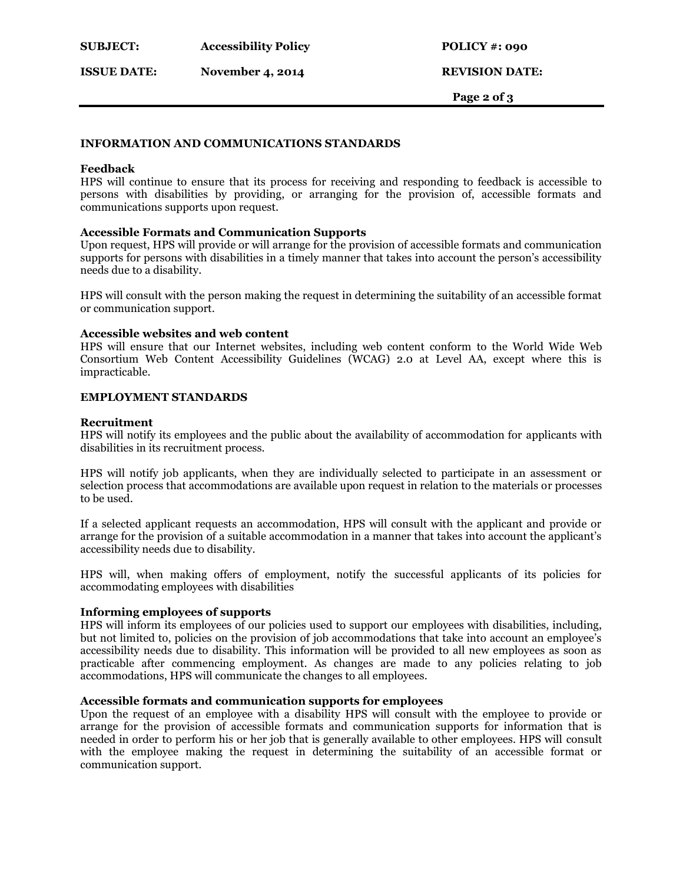**ISSUE DATE: November 4, 2014 REVISION DATE:**

 **Page 2 of 3**

## **INFORMATION AND COMMUNICATIONS STANDARDS**

#### **Feedback**

HPS will continue to ensure that its process for receiving and responding to feedback is accessible to persons with disabilities by providing, or arranging for the provision of, accessible formats and communications supports upon request.

## **Accessible Formats and Communication Supports**

Upon request, HPS will provide or will arrange for the provision of accessible formats and communication supports for persons with disabilities in a timely manner that takes into account the person's accessibility needs due to a disability.

HPS will consult with the person making the request in determining the suitability of an accessible format or communication support.

#### **Accessible websites and web content**

HPS will ensure that our Internet websites, including web content conform to the World Wide Web Consortium Web Content Accessibility Guidelines (WCAG) 2.0 at Level AA, except where this is impracticable.

#### **EMPLOYMENT STANDARDS**

#### **Recruitment**

HPS will notify its employees and the public about the availability of accommodation for applicants with disabilities in its recruitment process.

HPS will notify job applicants, when they are individually selected to participate in an assessment or selection process that accommodations are available upon request in relation to the materials or processes to be used.

If a selected applicant requests an accommodation, HPS will consult with the applicant and provide or arrange for the provision of a suitable accommodation in a manner that takes into account the applicant's accessibility needs due to disability.

HPS will, when making offers of employment, notify the successful applicants of its policies for accommodating employees with disabilities

## **Informing employees of supports**

HPS will inform its employees of our policies used to support our employees with disabilities, including, but not limited to, policies on the provision of job accommodations that take into account an employee's accessibility needs due to disability. This information will be provided to all new employees as soon as practicable after commencing employment. As changes are made to any policies relating to job accommodations, HPS will communicate the changes to all employees.

# **Accessible formats and communication supports for employees**

Upon the request of an employee with a disability HPS will consult with the employee to provide or arrange for the provision of accessible formats and communication supports for information that is needed in order to perform his or her job that is generally available to other employees. HPS will consult with the employee making the request in determining the suitability of an accessible format or communication support.